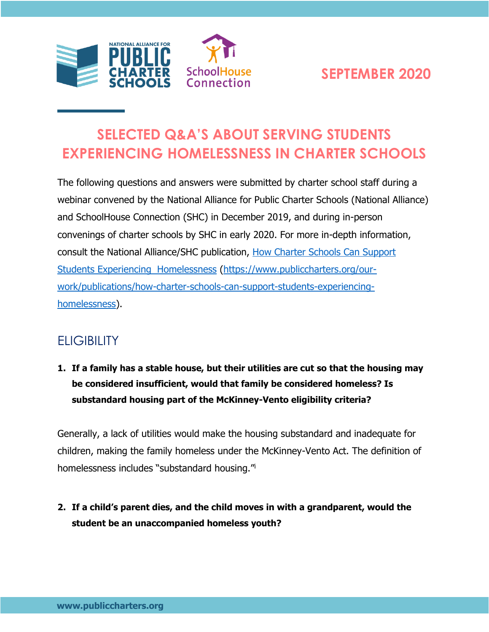

# **SELECTED Q&A'S ABOUT SERVING STUDENTS EXPERIENCING HOMELESSNESS IN CHARTER SCHOOLS**

The following questions and answers were submitted by charter school staff during a webinar convened by the National Alliance for Public Charter Schools (National Alliance) and SchoolHouse Connection (SHC) in December 2019, and during in-person convenings of charter schools by SHC in early 2020. For more in-depth information, consult the National Alliance/SHC publication, [How Charter Schools Can Support](https://www.publiccharters.org/our-work/publications/how-charter-schools-can-support-students-experiencing-homelessness)  [Students Experiencing Homelessness](https://www.publiccharters.org/our-work/publications/how-charter-schools-can-support-students-experiencing-homelessness) [\(https://www.publiccharters.org/our](https://www.publiccharters.org/our-work/publications/how-charter-schools-can-support-students-experiencing-homelessness)[work/publications/how-charter-schools-can-support-students-experiencing](https://www.publiccharters.org/our-work/publications/how-charter-schools-can-support-students-experiencing-homelessness)[homelessness\)](https://www.publiccharters.org/our-work/publications/how-charter-schools-can-support-students-experiencing-homelessness).

### **ELIGIBILITY**

**1. If a family has a stable house, but their utilities are cut so that the housing may be considered insufficient, would that family be considered homeless? Is substandard housing part of the McKinney-Vento eligibility criteria?**

Generally, a lack of utilities would make the housing substandard and inadequate for children, making the family homeless under the McKinney-Vento Act. The definition of homelessness includes "substandard housing."<sup>i</sup>

**2. If a child's parent dies, and the child moves in with a grandparent, would the student be an unaccompanied homeless youth?**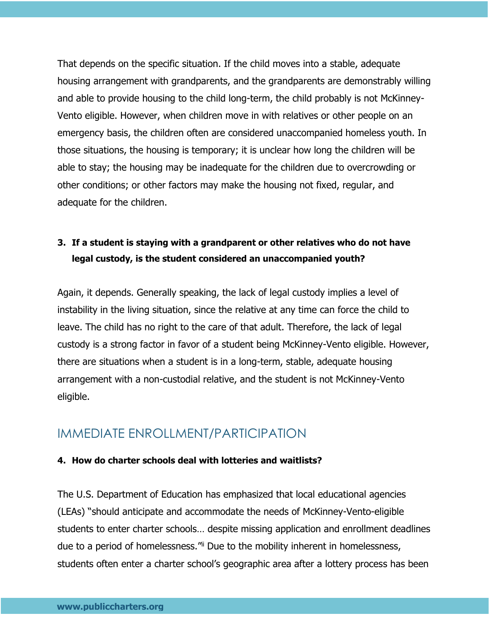That depends on the specific situation. If the child moves into a stable, adequate housing arrangement with grandparents, and the grandparents are demonstrably willing and able to provide housing to the child long-term, the child probably is not McKinney-Vento eligible. However, when children move in with relatives or other people on an emergency basis, the children often are considered unaccompanied homeless youth. In those situations, the housing is temporary; it is unclear how long the children will be able to stay; the housing may be inadequate for the children due to overcrowding or other conditions; or other factors may make the housing not fixed, regular, and adequate for the children.

### **3. If a student is staying with a grandparent or other relatives who do not have legal custody, is the student considered an unaccompanied youth?**

Again, it depends. Generally speaking, the lack of legal custody implies a level of instability in the living situation, since the relative at any time can force the child to leave. The child has no right to the care of that adult. Therefore, the lack of legal custody is a strong factor in favor of a student being McKinney-Vento eligible. However, there are situations when a student is in a long-term, stable, adequate housing arrangement with a non-custodial relative, and the student is not McKinney-Vento eligible.

### IMMEDIATE ENROLLMENT/PARTICIPATION

#### **4. How do charter schools deal with lotteries and waitlists?**

The U.S. Department of Education has emphasized that local educational agencies (LEAs) "should anticipate and accommodate the needs of McKinney-Vento-eligible students to enter charter schools… despite missing application and enrollment deadlines due to a period of homelessness."ii Due to the mobility inherent in homelessness, students often enter a charter school's geographic area after a lottery process has been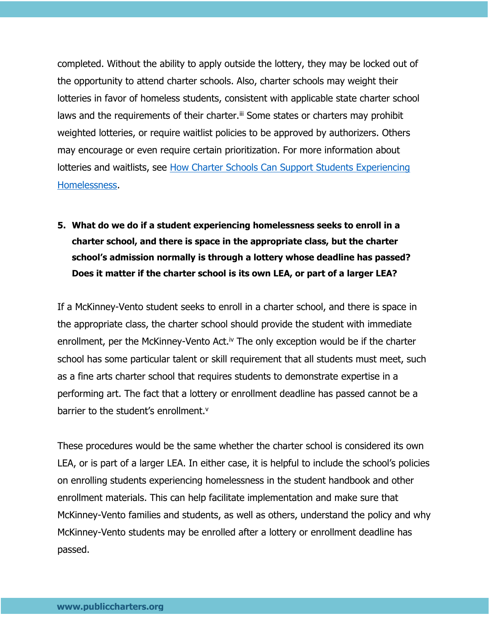completed. Without the ability to apply outside the lottery, they may be locked out of the opportunity to attend charter schools. Also, charter schools may weight their lotteries in favor of homeless students, consistent with applicable state charter school laws and the requirements of their charter.<sup>iii</sup> Some states or charters may prohibit weighted lotteries, or require waitlist policies to be approved by authorizers. Others may encourage or even require certain prioritization. For more information about lotteries and waitlists, see [How Charter Schools Can Support Students Experiencing](https://www.publiccharters.org/our-work/publications/how-charter-schools-can-support-students-experiencing-homelessness)  [Homelessness.](https://www.publiccharters.org/our-work/publications/how-charter-schools-can-support-students-experiencing-homelessness)

**5. What do we do if a student experiencing homelessness seeks to enroll in a charter school, and there is space in the appropriate class, but the charter school's admission normally is through a lottery whose deadline has passed? Does it matter if the charter school is its own LEA, or part of a larger LEA?**

If a McKinney-Vento student seeks to enroll in a charter school, and there is space in the appropriate class, the charter school should provide the student with immediate enrollment, per the McKinney-Vento Act.<sup>iv</sup> The only exception would be if the charter school has some particular talent or skill requirement that all students must meet, such as a fine arts charter school that requires students to demonstrate expertise in a performing art. The fact that a lottery or enrollment deadline has passed cannot be a barrier to the student's enrollment.<sup>v</sup>

These procedures would be the same whether the charter school is considered its own LEA, or is part of a larger LEA. In either case, it is helpful to include the school's policies on enrolling students experiencing homelessness in the student handbook and other enrollment materials. This can help facilitate implementation and make sure that McKinney-Vento families and students, as well as others, understand the policy and why McKinney-Vento students may be enrolled after a lottery or enrollment deadline has passed.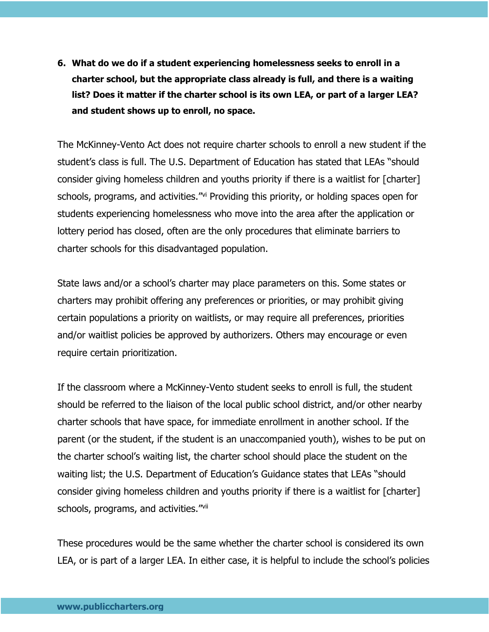**6. What do we do if a student experiencing homelessness seeks to enroll in a charter school, but the appropriate class already is full, and there is a waiting list? Does it matter if the charter school is its own LEA, or part of a larger LEA? and student shows up to enroll, no space.**

The McKinney-Vento Act does not require charter schools to enroll a new student if the student's class is full. The U.S. Department of Education has stated that LEAs "should consider giving homeless children and youths priority if there is a waitlist for [charter] schools, programs, and activities."vi Providing this priority, or holding spaces open for students experiencing homelessness who move into the area after the application or lottery period has closed, often are the only procedures that eliminate barriers to charter schools for this disadvantaged population.

State laws and/or a school's charter may place parameters on this. Some states or charters may prohibit offering any preferences or priorities, or may prohibit giving certain populations a priority on waitlists, or may require all preferences, priorities and/or waitlist policies be approved by authorizers. Others may encourage or even require certain prioritization.

If the classroom where a McKinney-Vento student seeks to enroll is full, the student should be referred to the liaison of the local public school district, and/or other nearby charter schools that have space, for immediate enrollment in another school. If the parent (or the student, if the student is an unaccompanied youth), wishes to be put on the charter school's waiting list, the charter school should place the student on the waiting list; the U.S. Department of Education's Guidance states that LEAs "should consider giving homeless children and youths priority if there is a waitlist for [charter] schools, programs, and activities."Vii

These procedures would be the same whether the charter school is considered its own LEA, or is part of a larger LEA. In either case, it is helpful to include the school's policies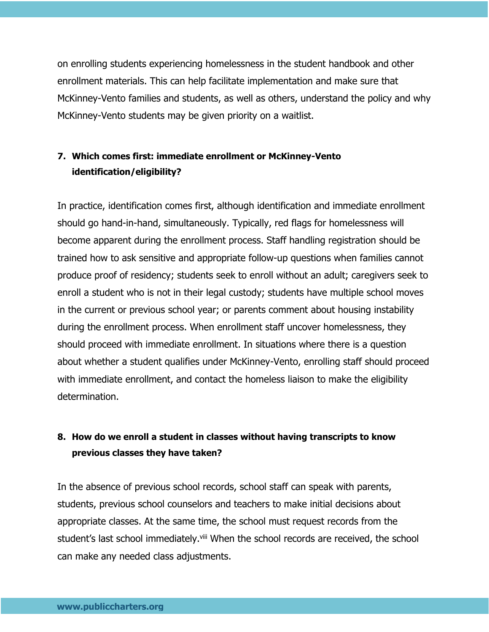on enrolling students experiencing homelessness in the student handbook and other enrollment materials. This can help facilitate implementation and make sure that McKinney-Vento families and students, as well as others, understand the policy and why McKinney-Vento students may be given priority on a waitlist.

### **7. Which comes first: immediate enrollment or McKinney-Vento identification/eligibility?**

In practice, identification comes first, although identification and immediate enrollment should go hand-in-hand, simultaneously. Typically, red flags for homelessness will become apparent during the enrollment process. Staff handling registration should be trained how to ask sensitive and appropriate follow-up questions when families cannot produce proof of residency; students seek to enroll without an adult; caregivers seek to enroll a student who is not in their legal custody; students have multiple school moves in the current or previous school year; or parents comment about housing instability during the enrollment process. When enrollment staff uncover homelessness, they should proceed with immediate enrollment. In situations where there is a question about whether a student qualifies under McKinney-Vento, enrolling staff should proceed with immediate enrollment, and contact the homeless liaison to make the eligibility determination.

#### **8. How do we enroll a student in classes without having transcripts to know previous classes they have taken?**

In the absence of previous school records, school staff can speak with parents, students, previous school counselors and teachers to make initial decisions about appropriate classes. At the same time, the school must request records from the student's last school immediately.<sup>viii</sup> When the school records are received, the school can make any needed class adjustments.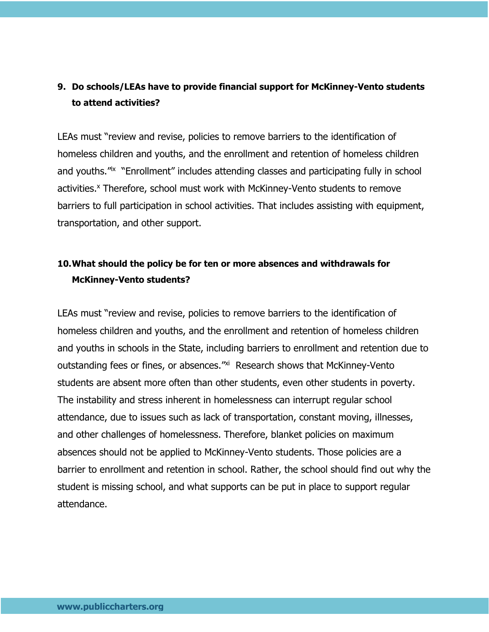### **9. Do schools/LEAs have to provide financial support for McKinney-Vento students to attend activities?**

LEAs must "review and revise, policies to remove barriers to the identification of homeless children and youths, and the enrollment and retention of homeless children and youths.<sup>"Ix</sup> "Enrollment" includes attending classes and participating fully in school activities.<sup>x</sup> Therefore, school must work with McKinney-Vento students to remove barriers to full participation in school activities. That includes assisting with equipment, transportation, and other support.

### **10.What should the policy be for ten or more absences and withdrawals for McKinney-Vento students?**

LEAs must "review and revise, policies to remove barriers to the identification of homeless children and youths, and the enrollment and retention of homeless children and youths in schools in the State, including barriers to enrollment and retention due to outstanding fees or fines, or absences."<sup>xi</sup> Research shows that McKinney-Vento students are absent more often than other students, even other students in poverty. The instability and stress inherent in homelessness can interrupt regular school attendance, due to issues such as lack of transportation, constant moving, illnesses, and other challenges of homelessness. Therefore, blanket policies on maximum absences should not be applied to McKinney-Vento students. Those policies are a barrier to enrollment and retention in school. Rather, the school should find out why the student is missing school, and what supports can be put in place to support regular attendance.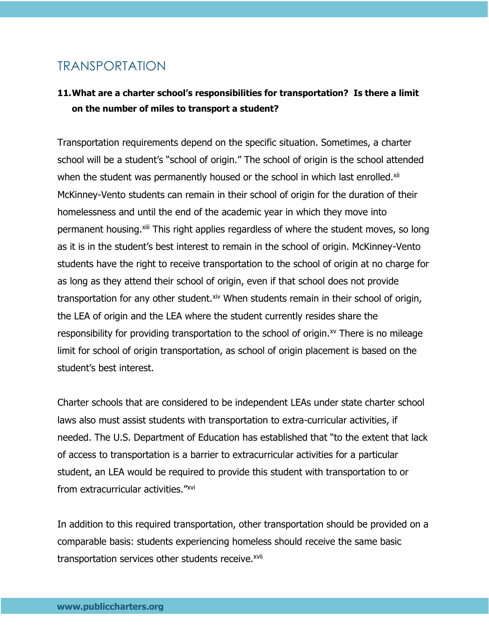### TRANSPORTATION

### **11.What are a charter school's responsibilities for transportation? Is there a limit on the number of miles to transport a student?**

Transportation requirements depend on the specific situation. Sometimes, a charter school will be a student's "school of origin." The school of origin is the school attended when the student was permanently housed or the school in which last enrolled.<sup>xii</sup> McKinney-Vento students can remain in their school of origin for the duration of their homelessness and until the end of the academic year in which they move into permanent housing.<sup>xiii</sup> This right applies regardless of where the student moves, so long as it is in the student's best interest to remain in the school of origin. McKinney-Vento students have the right to receive transportation to the school of origin at no charge for as long as they attend their school of origin, even if that school does not provide transportation for any other student.xiv When students remain in their school of origin, the LEA of origin and the LEA where the student currently resides share the responsibility for providing transportation to the school of origin. $x<sup>y</sup>$  There is no mileage limit for school of origin transportation, as school of origin placement is based on the student's best interest.

Charter schools that are considered to be independent LEAs under state charter school laws also must assist students with transportation to extra-curricular activities, if needed. The U.S. Department of Education has established that "to the extent that lack of access to transportation is a barrier to extracurricular activities for a particular student, an LEA would be required to provide this student with transportation to or from extracurricular activities."xvi

In addition to this required transportation, other transportation should be provided on a comparable basis: students experiencing homeless should receive the same basic transportation services other students receive.<sup>xvii</sup>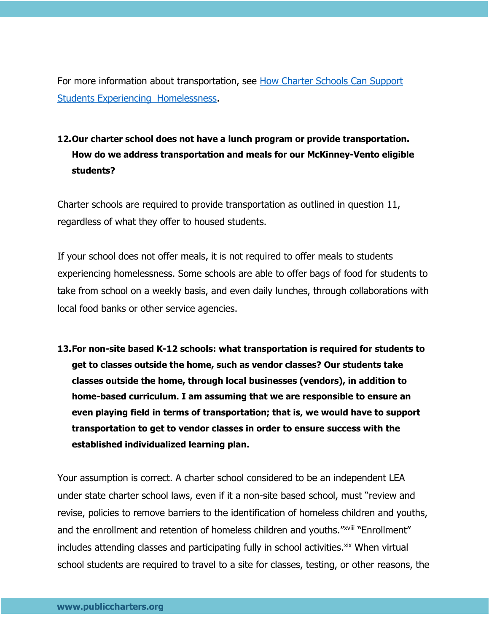For more information about transportation, see [How Charter Schools Can Support](https://www.publiccharters.org/our-work/publications/how-charter-schools-can-support-students-experiencing-homelessness)  [Students Experiencing Homelessness.](https://www.publiccharters.org/our-work/publications/how-charter-schools-can-support-students-experiencing-homelessness)

### **12.Our charter school does not have a lunch program or provide transportation. How do we address transportation and meals for our McKinney-Vento eligible students?**

Charter schools are required to provide transportation as outlined in question 11, regardless of what they offer to housed students.

If your school does not offer meals, it is not required to offer meals to students experiencing homelessness. Some schools are able to offer bags of food for students to take from school on a weekly basis, and even daily lunches, through collaborations with local food banks or other service agencies.

**13.For non-site based K-12 schools: what transportation is required for students to get to classes outside the home, such as vendor classes? Our students take classes outside the home, through local businesses (vendors), in addition to home-based curriculum. I am assuming that we are responsible to ensure an even playing field in terms of transportation; that is, we would have to support transportation to get to vendor classes in order to ensure success with the established individualized learning plan.**

Your assumption is correct. A charter school considered to be an independent LEA under state charter school laws, even if it a non-site based school, must "review and revise, policies to remove barriers to the identification of homeless children and youths, and the enrollment and retention of homeless children and youths."<sup>XVIII</sup> "Enrollment" includes attending classes and participating fully in school activities. xix When virtual school students are required to travel to a site for classes, testing, or other reasons, the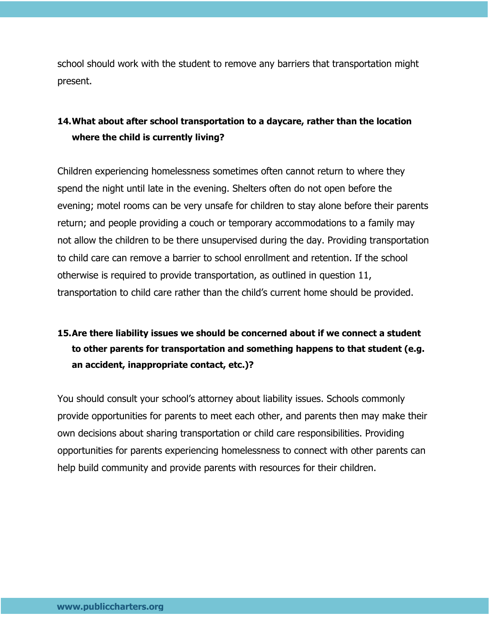school should work with the student to remove any barriers that transportation might present.

### **14.What about after school transportation to a daycare, rather than the location where the child is currently living?**

Children experiencing homelessness sometimes often cannot return to where they spend the night until late in the evening. Shelters often do not open before the evening; motel rooms can be very unsafe for children to stay alone before their parents return; and people providing a couch or temporary accommodations to a family may not allow the children to be there unsupervised during the day. Providing transportation to child care can remove a barrier to school enrollment and retention. If the school otherwise is required to provide transportation, as outlined in question 11, transportation to child care rather than the child's current home should be provided.

### **15.Are there liability issues we should be concerned about if we connect a student to other parents for transportation and something happens to that student (e.g. an accident, inappropriate contact, etc.)?**

You should consult your school's attorney about liability issues. Schools commonly provide opportunities for parents to meet each other, and parents then may make their own decisions about sharing transportation or child care responsibilities. Providing opportunities for parents experiencing homelessness to connect with other parents can help build community and provide parents with resources for their children.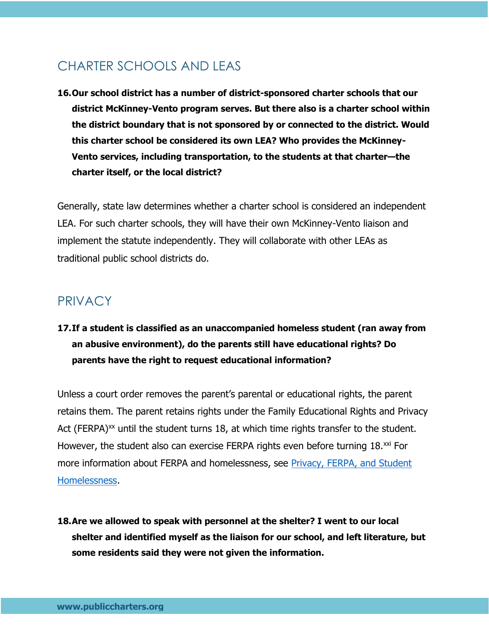## CHARTER SCHOOLS AND LEAS

**16.Our school district has a number of district-sponsored charter schools that our district McKinney-Vento program serves. But there also is a charter school within the district boundary that is not sponsored by or connected to the district. Would this charter school be considered its own LEA? Who provides the McKinney-Vento services, including transportation, to the students at that charter—the charter itself, or the local district?**

Generally, state law determines whether a charter school is considered an independent LEA. For such charter schools, they will have their own McKinney-Vento liaison and implement the statute independently. They will collaborate with other LEAs as traditional public school districts do.

### PRIVACY

**17.If a student is classified as an unaccompanied homeless student (ran away from an abusive environment), do the parents still have educational rights? Do parents have the right to request educational information?**

Unless a court order removes the parent's parental or educational rights, the parent retains them. The parent retains rights under the Family Educational Rights and Privacy Act (FERPA) $^{xx}$  until the student turns 18, at which time rights transfer to the student. However, the student also can exercise FERPA rights even before turning  $18.^{xxi}$  For more information about FERPA and homelessness, see [Privacy, FERPA, and Student](https://www.schoolhouseconnection.org/6-things-to-know-about-ferpa/)  [Homelessness.](https://www.schoolhouseconnection.org/6-things-to-know-about-ferpa/)

**18.Are we allowed to speak with personnel at the shelter? I went to our local shelter and identified myself as the liaison for our school, and left literature, but some residents said they were not given the information.**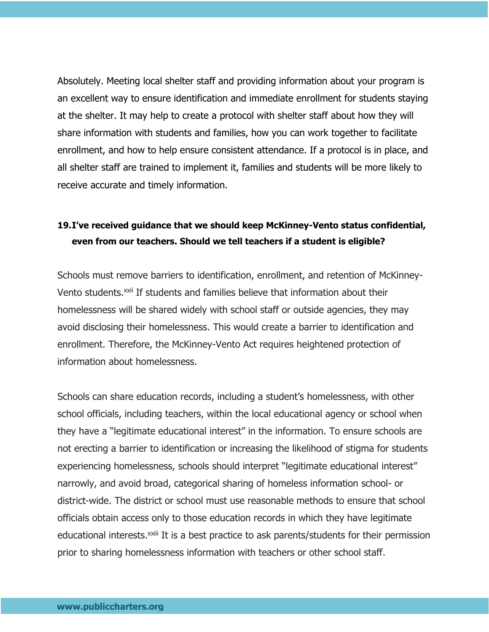Absolutely. Meeting local shelter staff and providing information about your program is an excellent way to ensure identification and immediate enrollment for students staying at the shelter. It may help to create a protocol with shelter staff about how they will share information with students and families, how you can work together to facilitate enrollment, and how to help ensure consistent attendance. If a protocol is in place, and all shelter staff are trained to implement it, families and students will be more likely to receive accurate and timely information.

### **19.I've received guidance that we should keep McKinney-Vento status confidential, even from our teachers. Should we tell teachers if a student is eligible?**

Schools must remove barriers to identification, enrollment, and retention of McKinney-Vento students.<sup>xxii</sup> If students and families believe that information about their homelessness will be shared widely with school staff or outside agencies, they may avoid disclosing their homelessness. This would create a barrier to identification and enrollment. Therefore, the McKinney-Vento Act requires heightened protection of information about homelessness.

Schools can share education records, including a student's homelessness, with other school officials, including teachers, within the local educational agency or school when they have a "legitimate educational interest" in the information. To ensure schools are not erecting a barrier to identification or increasing the likelihood of stigma for students experiencing homelessness, schools should interpret "legitimate educational interest" narrowly, and avoid broad, categorical sharing of homeless information school- or district-wide. The district or school must use reasonable methods to ensure that school officials obtain access only to those education records in which they have legitimate educational interests.<sup>xxiii</sup> It is a best practice to ask parents/students for their permission prior to sharing homelessness information with teachers or other school staff.